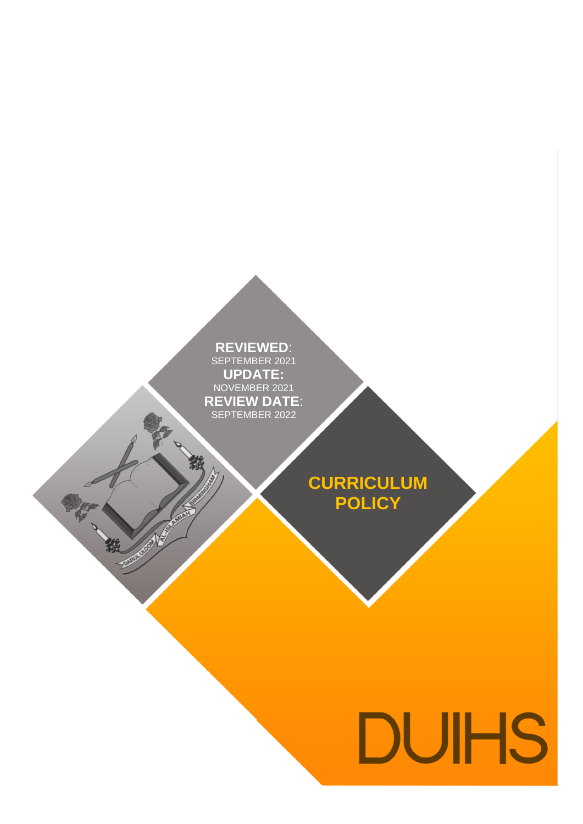# **REVIEWED**: SEPTEMBER 2021 **UPDATE:**  NOVEMBER 2021 **REVIEW DATE**: SEPTEMBER 2022

安全

**BANKROON** 

# **CURRICULUM POLICY**

# **DUIHS**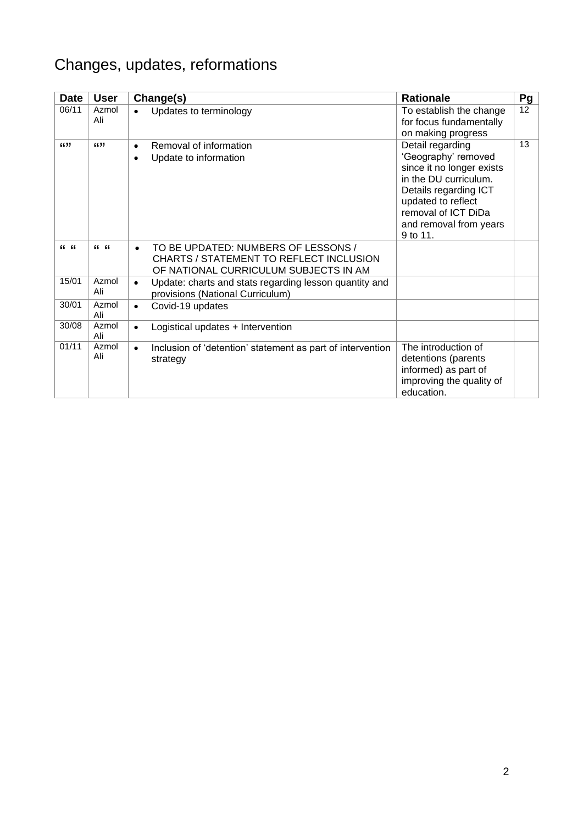# Changes, updates, reformations

| <b>Date</b> | <b>User</b>               | Change(s)                                                                                                                            | <b>Rationale</b>                                                                                                                                                                                          | Pg |
|-------------|---------------------------|--------------------------------------------------------------------------------------------------------------------------------------|-----------------------------------------------------------------------------------------------------------------------------------------------------------------------------------------------------------|----|
| 06/11       | Azmol<br>Ali              | Updates to terminology<br>$\bullet$                                                                                                  | To establish the change<br>for focus fundamentally<br>on making progress                                                                                                                                  | 12 |
| 6699        | 6699                      | Removal of information<br>$\bullet$<br>Update to information<br>$\bullet$                                                            | Detail regarding<br>'Geography' removed<br>since it no longer exists<br>in the DU curriculum.<br>Details regarding ICT<br>updated to reflect<br>removal of ICT DiDa<br>and removal from years<br>9 to 11. | 13 |
| 6666        | $\mathbf{G}$ $\mathbf{G}$ | TO BE UPDATED: NUMBERS OF LESSONS /<br>$\bullet$<br>CHARTS / STATEMENT TO REFLECT INCLUSION<br>OF NATIONAL CURRICULUM SUBJECTS IN AM |                                                                                                                                                                                                           |    |
| 15/01       | Azmol<br>Ali              | Update: charts and stats regarding lesson quantity and<br>$\bullet$<br>provisions (National Curriculum)                              |                                                                                                                                                                                                           |    |
| 30/01       | Azmol<br>Ali              | Covid-19 updates<br>$\bullet$                                                                                                        |                                                                                                                                                                                                           |    |
| 30/08       | Azmol<br>Ali              | Logistical updates + Intervention<br>$\bullet$                                                                                       |                                                                                                                                                                                                           |    |
| 01/11       | Azmol<br>Ali              | Inclusion of 'detention' statement as part of intervention<br>$\bullet$<br>strategy                                                  | The introduction of<br>detentions (parents<br>informed) as part of<br>improving the quality of<br>education.                                                                                              |    |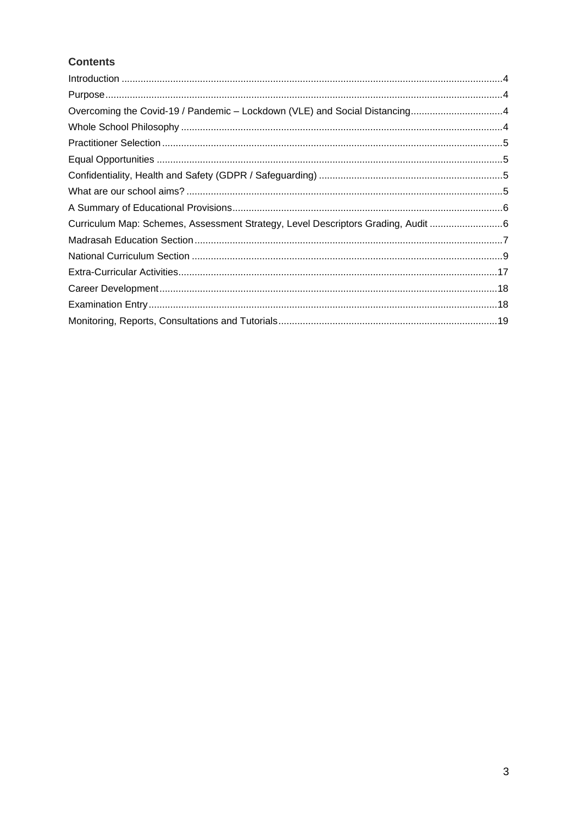# **Contents**

| Overcoming the Covid-19 / Pandemic - Lockdown (VLE) and Social Distancing4       |  |
|----------------------------------------------------------------------------------|--|
|                                                                                  |  |
|                                                                                  |  |
|                                                                                  |  |
|                                                                                  |  |
|                                                                                  |  |
|                                                                                  |  |
| Curriculum Map: Schemes, Assessment Strategy, Level Descriptors Grading, Audit 6 |  |
|                                                                                  |  |
|                                                                                  |  |
|                                                                                  |  |
|                                                                                  |  |
|                                                                                  |  |
|                                                                                  |  |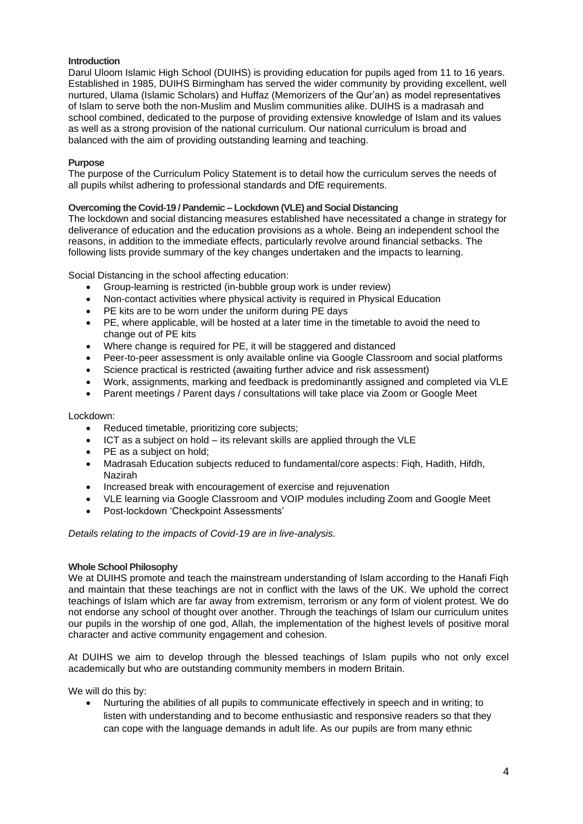# <span id="page-3-0"></span>**Introduction**

Darul Uloom Islamic High School (DUIHS) is providing education for pupils aged from 11 to 16 years. Established in 1985, DUIHS Birmingham has served the wider community by providing excellent, well nurtured, Ulama (Islamic Scholars) and Huffaz (Memorizers of the Qur'an) as model representatives of Islam to serve both the non-Muslim and Muslim communities alike. DUIHS is a madrasah and school combined, dedicated to the purpose of providing extensive knowledge of Islam and its values as well as a strong provision of the national curriculum. Our national curriculum is broad and balanced with the aim of providing outstanding learning and teaching.

#### <span id="page-3-1"></span>**Purpose**

The purpose of the Curriculum Policy Statement is to detail how the curriculum serves the needs of all pupils whilst adhering to professional standards and DfE requirements.

#### <span id="page-3-2"></span>**Overcoming the Covid-19 / Pandemic – Lockdown (VLE) and Social Distancing**

The lockdown and social distancing measures established have necessitated a change in strategy for deliverance of education and the education provisions as a whole. Being an independent school the reasons, in addition to the immediate effects, particularly revolve around financial setbacks. The following lists provide summary of the key changes undertaken and the impacts to learning.

Social Distancing in the school affecting education:

- Group-learning is restricted (in-bubble group work is under review)
- Non-contact activities where physical activity is required in Physical Education
- PE kits are to be worn under the uniform during PE days
- PE, where applicable, will be hosted at a later time in the timetable to avoid the need to change out of PE kits
- Where change is required for PE, it will be staggered and distanced
- Peer-to-peer assessment is only available online via Google Classroom and social platforms
- Science practical is restricted (awaiting further advice and risk assessment)
- Work, assignments, marking and feedback is predominantly assigned and completed via VLE
- Parent meetings / Parent days / consultations will take place via Zoom or Google Meet

#### Lockdown:

- Reduced timetable, prioritizing core subjects;
- ICT as a subject on hold its relevant skills are applied through the VLE
- PE as a subject on hold;
- Madrasah Education subjects reduced to fundamental/core aspects: Fiqh, Hadith, Hifdh, Nazirah
- Increased break with encouragement of exercise and rejuvenation
- VLE learning via Google Classroom and VOIP modules including Zoom and Google Meet
- Post-lockdown 'Checkpoint Assessments'

#### *Details relating to the impacts of Covid-19 are in live-analysis.*

#### <span id="page-3-3"></span>**Whole School Philosophy**

We at DUIHS promote and teach the mainstream understanding of Islam according to the Hanafi Fiqh and maintain that these teachings are not in conflict with the laws of the UK. We uphold the correct teachings of Islam which are far away from extremism, terrorism or any form of violent protest. We do not endorse any school of thought over another. Through the teachings of Islam our curriculum unites our pupils in the worship of one god, Allah, the implementation of the highest levels of positive moral character and active community engagement and cohesion.

At DUIHS we aim to develop through the blessed teachings of Islam pupils who not only excel academically but who are outstanding community members in modern Britain.

We will do this by:

• Nurturing the abilities of all pupils to communicate effectively in speech and in writing; to listen with understanding and to become enthusiastic and responsive readers so that they can cope with the language demands in adult life. As our pupils are from many ethnic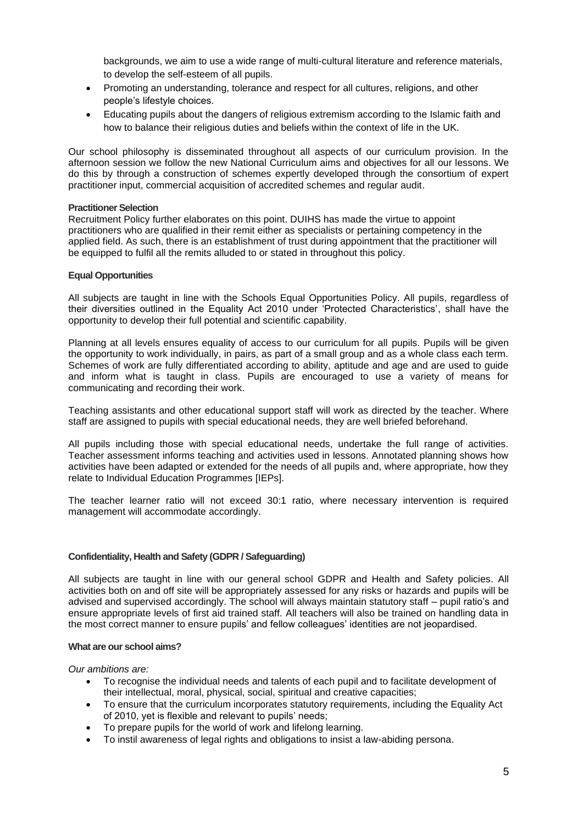backgrounds, we aim to use a wide range of multi-cultural literature and reference materials, to develop the self-esteem of all pupils.

- Promoting an understanding, tolerance and respect for all cultures, religions, and other people's lifestyle choices.
- Educating pupils about the dangers of religious extremism according to the Islamic faith and how to balance their religious duties and beliefs within the context of life in the UK.

Our school philosophy is disseminated throughout all aspects of our curriculum provision. In the afternoon session we follow the new National Curriculum aims and objectives for all our lessons. We do this by through a construction of schemes expertly developed through the consortium of expert practitioner input, commercial acquisition of accredited schemes and regular audit.

#### <span id="page-4-0"></span>**Practitioner Selection**

Recruitment Policy further elaborates on this point. DUIHS has made the virtue to appoint practitioners who are qualified in their remit either as specialists or pertaining competency in the applied field. As such, there is an establishment of trust during appointment that the practitioner will be equipped to fulfil all the remits alluded to or stated in throughout this policy.

#### <span id="page-4-1"></span>**Equal Opportunities**

All subjects are taught in line with the Schools Equal Opportunities Policy. All pupils, regardless of their diversities outlined in the Equality Act 2010 under 'Protected Characteristics', shall have the opportunity to develop their full potential and scientific capability.

Planning at all levels ensures equality of access to our curriculum for all pupils. Pupils will be given the opportunity to work individually, in pairs, as part of a small group and as a whole class each term. Schemes of work are fully differentiated according to ability, aptitude and age and are used to guide and inform what is taught in class. Pupils are encouraged to use a variety of means for communicating and recording their work.

Teaching assistants and other educational support staff will work as directed by the teacher. Where staff are assigned to pupils with special educational needs, they are well briefed beforehand.

All pupils including those with special educational needs, undertake the full range of activities. Teacher assessment informs teaching and activities used in lessons. Annotated planning shows how activities have been adapted or extended for the needs of all pupils and, where appropriate, how they relate to Individual Education Programmes [IEPs].

The teacher learner ratio will not exceed 30:1 ratio, where necessary intervention is required management will accommodate accordingly.

# <span id="page-4-2"></span>**Confidentiality, Health and Safety (GDPR / Safeguarding)**

All subjects are taught in line with our general school GDPR and Health and Safety policies. All activities both on and off site will be appropriately assessed for any risks or hazards and pupils will be advised and supervised accordingly. The school will always maintain statutory staff – pupil ratio's and ensure appropriate levels of first aid trained staff. All teachers will also be trained on handling data in the most correct manner to ensure pupils' and fellow colleagues' identities are not jeopardised.

#### <span id="page-4-3"></span>**What are our school aims?**

*Our ambitions are:*

- To recognise the individual needs and talents of each pupil and to facilitate development of their intellectual, moral, physical, social, spiritual and creative capacities;
- To ensure that the curriculum incorporates statutory requirements, including the Equality Act of 2010, yet is flexible and relevant to pupils' needs;
- To prepare pupils for the world of work and lifelong learning.
- To instil awareness of legal rights and obligations to insist a law-abiding persona.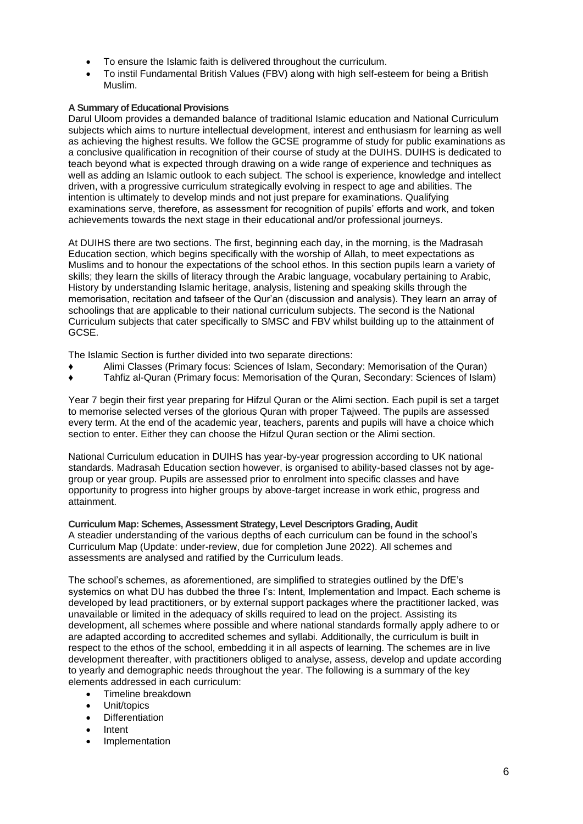- To ensure the Islamic faith is delivered throughout the curriculum.
- To instil Fundamental British Values (FBV) along with high self-esteem for being a British Muslim.

# <span id="page-5-0"></span>**A Summary of Educational Provisions**

Darul Uloom provides a demanded balance of traditional Islamic education and National Curriculum subjects which aims to nurture intellectual development, interest and enthusiasm for learning as well as achieving the highest results. We follow the GCSE programme of study for public examinations as a conclusive qualification in recognition of their course of study at the DUIHS. DUIHS is dedicated to teach beyond what is expected through drawing on a wide range of experience and techniques as well as adding an Islamic outlook to each subject. The school is experience, knowledge and intellect driven, with a progressive curriculum strategically evolving in respect to age and abilities. The intention is ultimately to develop minds and not just prepare for examinations. Qualifying examinations serve, therefore, as assessment for recognition of pupils' efforts and work, and token achievements towards the next stage in their educational and/or professional journeys.

At DUIHS there are two sections. The first, beginning each day, in the morning, is the Madrasah Education section, which begins specifically with the worship of Allah, to meet expectations as Muslims and to honour the expectations of the school ethos. In this section pupils learn a variety of skills; they learn the skills of literacy through the Arabic language, vocabulary pertaining to Arabic, History by understanding Islamic heritage, analysis, listening and speaking skills through the memorisation, recitation and tafseer of the Qur'an (discussion and analysis). They learn an array of schoolings that are applicable to their national curriculum subjects. The second is the National Curriculum subjects that cater specifically to SMSC and FBV whilst building up to the attainment of GCSE.

The Islamic Section is further divided into two separate directions:

- Alimi Classes (Primary focus: Sciences of Islam, Secondary: Memorisation of the Quran)
- ♦ Tahfiz al-Quran (Primary focus: Memorisation of the Quran, Secondary: Sciences of Islam)

Year 7 begin their first year preparing for Hifzul Quran or the Alimi section. Each pupil is set a target to memorise selected verses of the glorious Quran with proper Tajweed. The pupils are assessed every term. At the end of the academic year, teachers, parents and pupils will have a choice which section to enter. Either they can choose the Hifzul Quran section or the Alimi section.

National Curriculum education in DUIHS has year-by-year progression according to UK national standards. Madrasah Education section however, is organised to ability-based classes not by agegroup or year group. Pupils are assessed prior to enrolment into specific classes and have opportunity to progress into higher groups by above-target increase in work ethic, progress and attainment.

<span id="page-5-1"></span>**Curriculum Map: Schemes, Assessment Strategy, Level Descriptors Grading, Audit** A steadier understanding of the various depths of each curriculum can be found in the school's Curriculum Map (Update: under-review, due for completion June 2022). All schemes and assessments are analysed and ratified by the Curriculum leads.

The school's schemes, as aforementioned, are simplified to strategies outlined by the DfE's systemics on what DU has dubbed the three I's: Intent, Implementation and Impact. Each scheme is developed by lead practitioners, or by external support packages where the practitioner lacked, was unavailable or limited in the adequacy of skills required to lead on the project. Assisting its development, all schemes where possible and where national standards formally apply adhere to or are adapted according to accredited schemes and syllabi. Additionally, the curriculum is built in respect to the ethos of the school, embedding it in all aspects of learning. The schemes are in live development thereafter, with practitioners obliged to analyse, assess, develop and update according to yearly and demographic needs throughout the year. The following is a summary of the key elements addressed in each curriculum:

- Timeline breakdown
- Unit/topics
- **Differentiation**
- **Intent**
- **Implementation**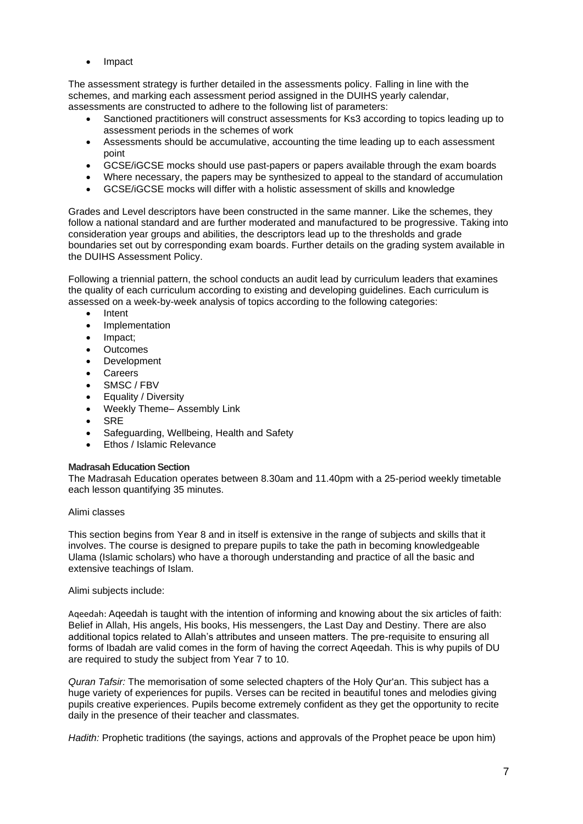• Impact

The assessment strategy is further detailed in the assessments policy. Falling in line with the schemes, and marking each assessment period assigned in the DUIHS yearly calendar, assessments are constructed to adhere to the following list of parameters:

- Sanctioned practitioners will construct assessments for Ks3 according to topics leading up to assessment periods in the schemes of work
- Assessments should be accumulative, accounting the time leading up to each assessment point
- GCSE/iGCSE mocks should use past-papers or papers available through the exam boards
- Where necessary, the papers may be synthesized to appeal to the standard of accumulation
- GCSE/iGCSE mocks will differ with a holistic assessment of skills and knowledge

Grades and Level descriptors have been constructed in the same manner. Like the schemes, they follow a national standard and are further moderated and manufactured to be progressive. Taking into consideration year groups and abilities, the descriptors lead up to the thresholds and grade boundaries set out by corresponding exam boards. Further details on the grading system available in the DUIHS Assessment Policy.

Following a triennial pattern, the school conducts an audit lead by curriculum leaders that examines the quality of each curriculum according to existing and developing guidelines. Each curriculum is assessed on a week-by-week analysis of topics according to the following categories:

- Intent
- **Implementation**
- Impact;
- Outcomes
- Development
- **Careers**
- SMSC / FBV
- Equality / Diversity
- Weekly Theme– Assembly Link
- **SRE**
- Safeguarding, Wellbeing, Health and Safety
- Ethos / Islamic Relevance

#### <span id="page-6-0"></span>**Madrasah Education Section**

The Madrasah Education operates between 8.30am and 11.40pm with a 25-period weekly timetable each lesson quantifying 35 minutes.

#### Alimi classes

This section begins from Year 8 and in itself is extensive in the range of subjects and skills that it involves. The course is designed to prepare pupils to take the path in becoming knowledgeable Ulama (Islamic scholars) who have a thorough understanding and practice of all the basic and extensive teachings of Islam.

#### Alimi subjects include:

Aqeedah: Aqeedah is taught with the intention of informing and knowing about the six articles of faith: Belief in Allah, His angels, His books, His messengers, the Last Day and Destiny. There are also additional topics related to Allah's attributes and unseen matters. The pre-requisite to ensuring all forms of Ibadah are valid comes in the form of having the correct Aqeedah. This is why pupils of DU are required to study the subject from Year 7 to 10.

*Quran Tafsir:* The memorisation of some selected chapters of the Holy Qur'an. This subject has a huge variety of experiences for pupils. Verses can be recited in beautiful tones and melodies giving pupils creative experiences. Pupils become extremely confident as they get the opportunity to recite daily in the presence of their teacher and classmates.

*Hadith:* Prophetic traditions (the sayings, actions and approvals of the Prophet peace be upon him)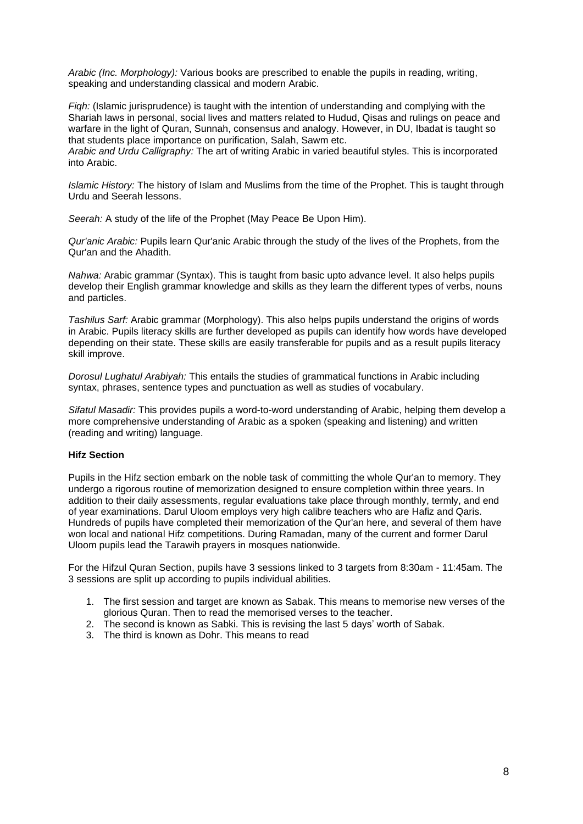*Arabic (Inc. Morphology):* Various books are prescribed to enable the pupils in reading, writing, speaking and understanding classical and modern Arabic.

*Fiqh:* (Islamic jurisprudence) is taught with the intention of understanding and complying with the Shariah laws in personal, social lives and matters related to Hudud, Qisas and rulings on peace and warfare in the light of Quran, Sunnah, consensus and analogy. However, in DU, Ibadat is taught so that students place importance on purification, Salah, Sawm etc.

*Arabic and Urdu Calligraphy:* The art of writing Arabic in varied beautiful styles. This is incorporated into Arabic.

*Islamic History:* The history of Islam and Muslims from the time of the Prophet. This is taught through Urdu and Seerah lessons.

*Seerah:* A study of the life of the Prophet (May Peace Be Upon Him).

*Qur'anic Arabic:* Pupils learn Qur'anic Arabic through the study of the lives of the Prophets, from the Qur'an and the Ahadith.

*Nahwa:* Arabic grammar (Syntax). This is taught from basic upto advance level. It also helps pupils develop their English grammar knowledge and skills as they learn the different types of verbs, nouns and particles.

*Tashilus Sarf:* Arabic grammar (Morphology). This also helps pupils understand the origins of words in Arabic. Pupils literacy skills are further developed as pupils can identify how words have developed depending on their state. These skills are easily transferable for pupils and as a result pupils literacy skill improve.

*Dorosul Lughatul Arabiyah:* This entails the studies of grammatical functions in Arabic including syntax, phrases, sentence types and punctuation as well as studies of vocabulary.

*Sifatul Masadir:* This provides pupils a word-to-word understanding of Arabic, helping them develop a more comprehensive understanding of Arabic as a spoken (speaking and listening) and written (reading and writing) language.

#### **Hifz Section**

Pupils in the Hifz section embark on the noble task of committing the whole Qur'an to memory. They undergo a rigorous routine of memorization designed to ensure completion within three years. In addition to their daily assessments, regular evaluations take place through monthly, termly, and end of year examinations. Darul Uloom employs very high calibre teachers who are Hafiz and Qaris. Hundreds of pupils have completed their memorization of the Qur'an here, and several of them have won local and national Hifz competitions. During Ramadan, many of the current and former Darul Uloom pupils lead the Tarawih prayers in mosques nationwide.

For the Hifzul Quran Section, pupils have 3 sessions linked to 3 targets from 8:30am - 11:45am. The 3 sessions are split up according to pupils individual abilities.

- 1. The first session and target are known as Sabak. This means to memorise new verses of the glorious Quran. Then to read the memorised verses to the teacher.
- 2. The second is known as Sabki. This is revising the last 5 days' worth of Sabak.
- 3. The third is known as Dohr. This means to read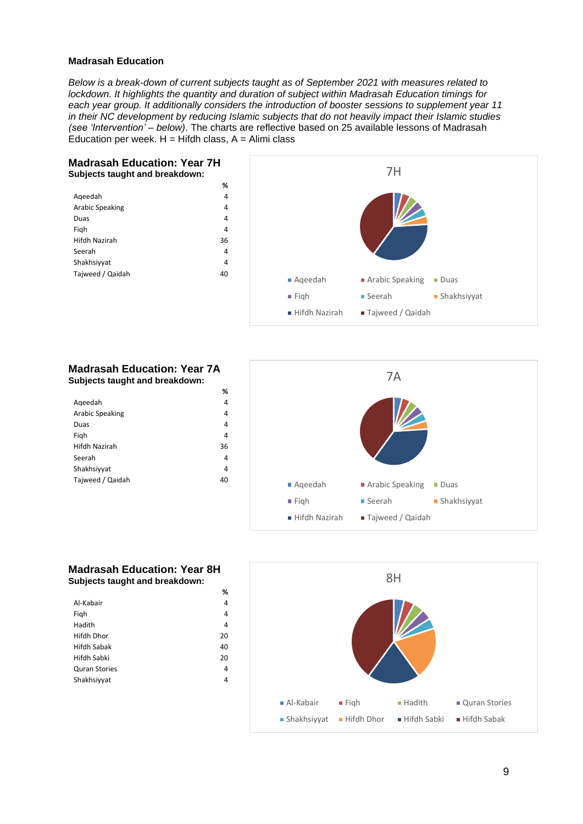#### **Madrasah Education**

*Below is a break-down of current subjects taught as of September 2021 with measures related to lockdown. It highlights the quantity and duration of subject within Madrasah Education timings for each year group. It additionally considers the introduction of booster sessions to supplement year 11 in their NC development by reducing Islamic subjects that do not heavily impact their Islamic studies (see 'Intervention' – below)*. The charts are reflective based on 25 available lessons of Madrasah Education per week.  $H = H$ ifdh class,  $A = H$ limi class



# <span id="page-8-0"></span>**Madrasah Education: Year 7A Subjects taught and breakdown:**

|                        | %  |
|------------------------|----|
| Ageedah                | 4  |
| <b>Arabic Speaking</b> | 4  |
| Duas                   | 4  |
| Figh                   | 4  |
| Hifdh Nazirah          | 36 |
| Seerah                 | 4  |
| Shakhsiyyat            | 4  |
| Tajweed / Qaidah       | 40 |
|                        |    |



#### **Madrasah Education: Year 8H Subjects taught and breakdown:**

|                      | %  |
|----------------------|----|
| Al-Kabair            | 4  |
| Figh                 | 4  |
| Hadith               | 4  |
| Hifdh Dhor           | 20 |
| <b>Hifdh Sabak</b>   | 40 |
| Hifdh Sabki          | 20 |
| <b>Quran Stories</b> | 4  |
| Shakhsiyyat          | 4  |
|                      |    |

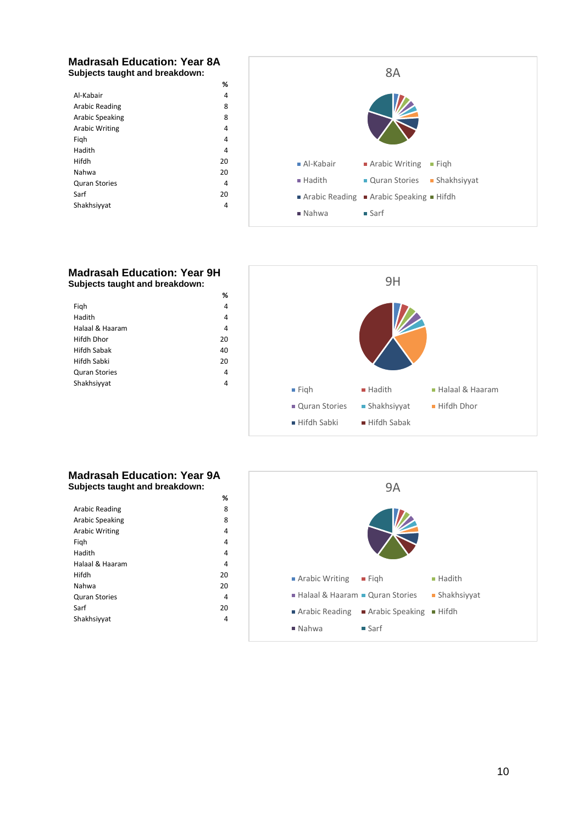#### **Madrasah Education: Year 8A Subjects taught and breakdown:**

|                        | %  |
|------------------------|----|
| Al-Kabair              | 4  |
| Arabic Reading         | 8  |
| <b>Arabic Speaking</b> | 8  |
| <b>Arabic Writing</b>  | 4  |
| Figh                   | 4  |
| Hadith                 | 4  |
| Hifdh                  | 20 |
| Nahwa                  | 20 |
| <b>Quran Stories</b>   | 4  |
| Sarf                   | 20 |
| Shakhsiyyat            | 4  |
|                        |    |



# **Madrasah Education: Year 9H Subjects taught and breakdown:**

|                      | %  |
|----------------------|----|
| Figh                 | 4  |
| Hadith               | 4  |
| Halaal & Haaram      | 4  |
| Hifdh Dhor           | 20 |
| <b>Hifdh Sabak</b>   | 40 |
| Hifdh Sabki          | 20 |
| <b>Quran Stories</b> | 4  |
| Shakhsiyyat          | 4  |
|                      |    |



#### **Madrasah Education: Year 9A Subjects taught and breakdown:**

|                        | %  |
|------------------------|----|
| Arabic Reading         | 8  |
| <b>Arabic Speaking</b> | 8  |
| <b>Arabic Writing</b>  | 4  |
| Figh                   | 4  |
| Hadith                 | 4  |
| Halaal & Haaram        | 4  |
| Hifdh                  | 20 |
| Nahwa                  | 20 |
| <b>Quran Stories</b>   | 4  |
| Sarf                   | 20 |
| Shakhsiyyat            | 4  |
|                        |    |

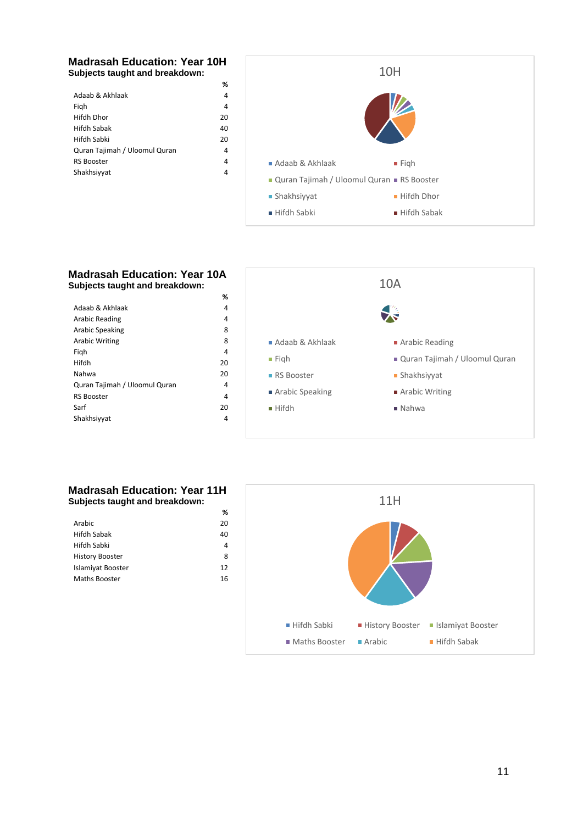#### **Madrasah Education: Year 10H Subjects taught and breakdown:**

**%**

|                               | ₩  |
|-------------------------------|----|
| Adaab & Akhlaak               | 4  |
| Figh                          | 4  |
| Hifdh Dhor                    | 20 |
| <b>Hifdh Sabak</b>            | 40 |
| Hifdh Sabki                   | 20 |
| Quran Tajimah / Uloomul Quran | 4  |
| <b>RS Booster</b>             | 4  |
| Shakhsiyyat                   | 4  |
|                               |    |



# **Madrasah Education: Year 10A Subjects taught and breakdown:**

|                               | /u |
|-------------------------------|----|
| Adaab & Akhlaak               | 4  |
| Arabic Reading                | 4  |
| <b>Arabic Speaking</b>        | 8  |
| <b>Arabic Writing</b>         | 8  |
| Figh                          | 4  |
| Hifdh                         | 20 |
| Nahwa                         | 20 |
| Quran Tajimah / Uloomul Quran | 4  |
| <b>RS Booster</b>             | 4  |
| Sarf                          | 20 |
| Shakhsiyyat                   | 4  |
|                               |    |



# **Madrasah Education: Year 11H Subjects taught and breakdown:**

|                        | ℅  |
|------------------------|----|
| Arabic                 | 20 |
| <b>Hifdh Sabak</b>     | 40 |
| Hifdh Sabki            | Δ  |
| <b>History Booster</b> | 8  |
| Islamiyat Booster      | 12 |
| Maths Booster          | 16 |

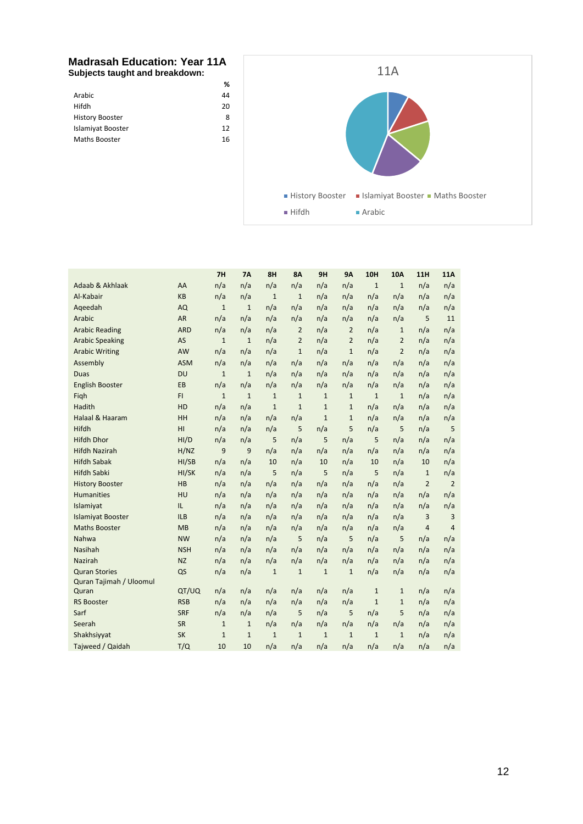#### **Madrasah Education: Year 11A Subjects taught and breakdown:**

|                        | %  |
|------------------------|----|
| Arabic                 | 44 |
| Hifdh                  | 20 |
| <b>History Booster</b> | 8  |
| Islamiyat Booster      | 12 |
| Maths Booster          | 16 |
|                        |    |



|                          |            | 7H           | 7Α           | 8H           | 8Α             | <b>9H</b>    | 9Λ             | <b>10H</b>   | 10A            | <b>11H</b>     | 11A            |
|--------------------------|------------|--------------|--------------|--------------|----------------|--------------|----------------|--------------|----------------|----------------|----------------|
| Adaab & Akhlaak          | AA         | n/a          | n/a          | n/a          | n/a            | n/a          | n/a            | $\mathbf{1}$ | $\mathbf{1}$   | n/a            | n/a            |
| Al-Kabair                | <b>KB</b>  | n/a          | n/a          | $\mathbf{1}$ | $\mathbf{1}$   | n/a          | n/a            | n/a          | n/a            | n/a            | n/a            |
| Aqeedah                  | AQ         | $\mathbf{1}$ | $\mathbf{1}$ | n/a          | n/a            | n/a          | n/a            | n/a          | n/a            | n/a            | n/a            |
| Arabic                   | <b>AR</b>  | n/a          | n/a          | n/a          | n/a            | n/a          | n/a            | n/a          | n/a            | 5              | 11             |
| <b>Arabic Reading</b>    | <b>ARD</b> | n/a          | n/a          | n/a          | $\overline{2}$ | n/a          | $\overline{2}$ | n/a          | $\mathbf{1}$   | n/a            | n/a            |
| <b>Arabic Speaking</b>   | AS         | $\mathbf 1$  | $\mathbf{1}$ | n/a          | $\overline{2}$ | n/a          | $\overline{2}$ | n/a          | 2              | n/a            | n/a            |
| <b>Arabic Writing</b>    | AW         | n/a          | n/a          | n/a          | $\mathbf{1}$   | n/a          | $\mathbf 1$    | n/a          | $\overline{2}$ | n/a            | n/a            |
| Assembly                 | <b>ASM</b> | n/a          | n/a          | n/a          | n/a            | n/a          | n/a            | n/a          | n/a            | n/a            | n/a            |
| <b>Duas</b>              | DU         | $\mathbf{1}$ | $\mathbf{1}$ | n/a          | n/a            | n/a          | n/a            | n/a          | n/a            | n/a            | n/a            |
| <b>English Booster</b>   | EB         | n/a          | n/a          | n/a          | n/a            | n/a          | n/a            | n/a          | n/a            | n/a            | n/a            |
| Figh                     | FI.        | $\mathbf{1}$ | $\mathbf{1}$ | $\mathbf 1$  | $\mathbf 1$    | $\mathbf 1$  | $\mathbf 1$    | $\mathbf{1}$ | $\mathbf{1}$   | n/a            | n/a            |
| Hadith                   | HD         | n/a          | n/a          | $\mathbf{1}$ | $\mathbf{1}$   | $\mathbf{1}$ | $\mathbf{1}$   | n/a          | n/a            | n/a            | n/a            |
| Halaal & Haaram          | HH         | n/a          | n/a          | n/a          | n/a            | $\mathbf{1}$ | $1\,$          | n/a          | n/a            | n/a            | n/a            |
| Hifdh                    | HI         | n/a          | n/a          | n/a          | 5              | n/a          | 5              | n/a          | 5              | n/a            | 5              |
| <b>Hifdh Dhor</b>        | HI/D       | n/a          | n/a          | 5            | n/a            | 5            | n/a            | 5            | n/a            | n/a            | n/a            |
| <b>Hifdh Nazirah</b>     | H/NZ       | 9            | 9            | n/a          | n/a            | n/a          | n/a            | n/a          | n/a            | n/a            | n/a            |
| <b>Hifdh Sabak</b>       | HI/SB      | n/a          | n/a          | 10           | n/a            | 10           | n/a            | 10           | n/a            | 10             | n/a            |
| <b>Hifdh Sabki</b>       | HI/SK      | n/a          | n/a          | 5            | n/a            | 5            | n/a            | 5            | n/a            | $\mathbf{1}$   | n/a            |
| <b>History Booster</b>   | HB         | n/a          | n/a          | n/a          | n/a            | n/a          | n/a            | n/a          | n/a            | $\overline{2}$ | $\overline{2}$ |
| <b>Humanities</b>        | HU         | n/a          | n/a          | n/a          | n/a            | n/a          | n/a            | n/a          | n/a            | n/a            | n/a            |
| Islamiyat                | IL.        | n/a          | n/a          | n/a          | n/a            | n/a          | n/a            | n/a          | n/a            | n/a            | n/a            |
| <b>Islamiyat Booster</b> | <b>ILB</b> | n/a          | n/a          | n/a          | n/a            | n/a          | n/a            | n/a          | n/a            | 3              | 3              |
| <b>Maths Booster</b>     | MB         | n/a          | n/a          | n/a          | n/a            | n/a          | n/a            | n/a          | n/a            | $\overline{4}$ | $\overline{4}$ |
| Nahwa                    | <b>NW</b>  | n/a          | n/a          | n/a          | 5              | n/a          | 5              | n/a          | 5              | n/a            | n/a            |
| Nasihah                  | <b>NSH</b> | n/a          | n/a          | n/a          | n/a            | n/a          | n/a            | n/a          | n/a            | n/a            | n/a            |
| Nazirah                  | <b>NZ</b>  | n/a          | n/a          | n/a          | n/a            | n/a          | n/a            | n/a          | n/a            | n/a            | n/a            |
| <b>Quran Stories</b>     | QS         | n/a          | n/a          | $\mathbf 1$  | $\mathbf{1}$   | $\mathbf{1}$ | $1\,$          | n/a          | n/a            | n/a            | n/a            |
| Quran Tajimah / Uloomul  |            |              |              |              |                |              |                |              |                |                |                |
| Quran                    | QT/UQ      | n/a          | n/a          | n/a          | n/a            | n/a          | n/a            | $\mathbf 1$  | $\mathbf{1}$   | n/a            | n/a            |
| <b>RS Booster</b>        | <b>RSB</b> | n/a          | n/a          | n/a          | n/a            | n/a          | n/a            | $\mathbf{1}$ | $\mathbf{1}$   | n/a            | n/a            |
| Sarf                     | <b>SRF</b> | n/a          | n/a          | n/a          | 5              | n/a          | 5              | n/a          | 5              | n/a            | n/a            |
| Seerah                   | <b>SR</b>  | $\mathbf{1}$ | $\mathbf{1}$ | n/a          | n/a            | n/a          | n/a            | n/a          | n/a            | n/a            | n/a            |
| Shakhsiyyat              | <b>SK</b>  | $\mathbf{1}$ | $\mathbf{1}$ | $\mathbf 1$  | $\mathbf{1}$   | $1\,$        | $\mathbf 1$    | $\mathbf{1}$ | $\mathbf{1}$   | n/a            | n/a            |
| Tajweed / Qaidah         | T/Q        | 10           | 10           | n/a          | n/a            | n/a          | n/a            | n/a          | n/a            | n/a            | n/a            |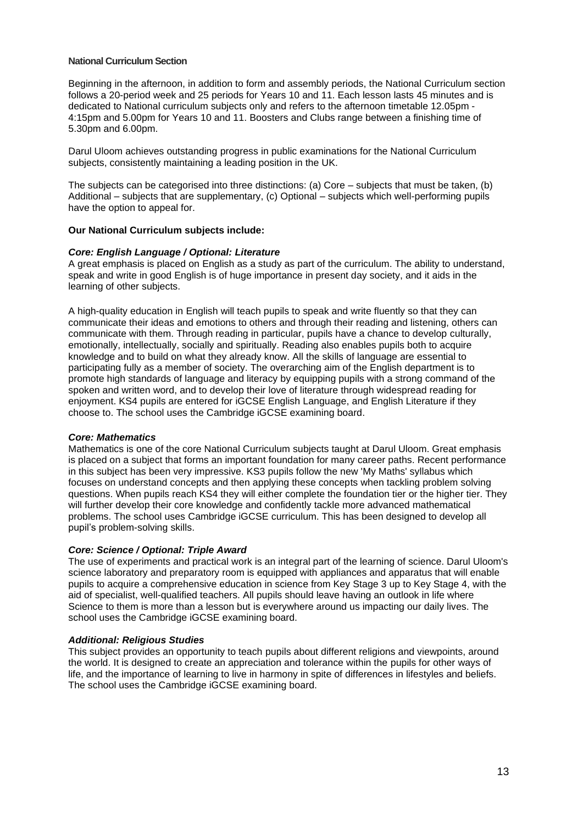#### **National Curriculum Section**

Beginning in the afternoon, in addition to form and assembly periods, the National Curriculum section follows a 20-period week and 25 periods for Years 10 and 11. Each lesson lasts 45 minutes and is dedicated to National curriculum subjects only and refers to the afternoon timetable 12.05pm - 4:15pm and 5.00pm for Years 10 and 11. Boosters and Clubs range between a finishing time of 5.30pm and 6.00pm.

Darul Uloom achieves outstanding progress in public examinations for the National Curriculum subjects, consistently maintaining a leading position in the UK.

The subjects can be categorised into three distinctions: (a) Core – subjects that must be taken, (b) Additional – subjects that are supplementary, (c) Optional – subjects which well-performing pupils have the option to appeal for.

#### **Our National Curriculum subjects include:**

#### *Core: English Language / Optional: Literature*

A great emphasis is placed on English as a study as part of the curriculum. The ability to understand, speak and write in good English is of huge importance in present day society, and it aids in the learning of other subjects.

A high-quality education in English will teach pupils to speak and write fluently so that they can communicate their ideas and emotions to others and through their reading and listening, others can communicate with them. Through reading in particular, pupils have a chance to develop culturally, emotionally, intellectually, socially and spiritually. Reading also enables pupils both to acquire knowledge and to build on what they already know. All the skills of language are essential to participating fully as a member of society. The overarching aim of the English department is to promote high standards of language and literacy by equipping pupils with a strong command of the spoken and written word, and to develop their love of literature through widespread reading for enjoyment. KS4 pupils are entered for iGCSE English Language, and English Literature if they choose to. The school uses the Cambridge iGCSE examining board.

#### *Core: Mathematics*

Mathematics is one of the core National Curriculum subjects taught at Darul Uloom. Great emphasis is placed on a subject that forms an important foundation for many career paths. Recent performance in this subject has been very impressive. KS3 pupils follow the new 'My Maths' syllabus which focuses on understand concepts and then applying these concepts when tackling problem solving questions. When pupils reach KS4 they will either complete the foundation tier or the higher tier. They will further develop their core knowledge and confidently tackle more advanced mathematical problems. The school uses Cambridge iGCSE curriculum. This has been designed to develop all pupil's problem-solving skills.

#### *Core: Science / Optional: Triple Award*

The use of experiments and practical work is an integral part of the learning of science. Darul Uloom's science laboratory and preparatory room is equipped with appliances and apparatus that will enable pupils to acquire a comprehensive education in science from Key Stage 3 up to Key Stage 4, with the aid of specialist, well-qualified teachers. All pupils should leave having an outlook in life where Science to them is more than a lesson but is everywhere around us impacting our daily lives. The school uses the Cambridge iGCSE examining board.

#### *Additional: Religious Studies*

This subject provides an opportunity to teach pupils about different religions and viewpoints, around the world. It is designed to create an appreciation and tolerance within the pupils for other ways of life, and the importance of learning to live in harmony in spite of differences in lifestyles and beliefs. The school uses the Cambridge iGCSE examining board.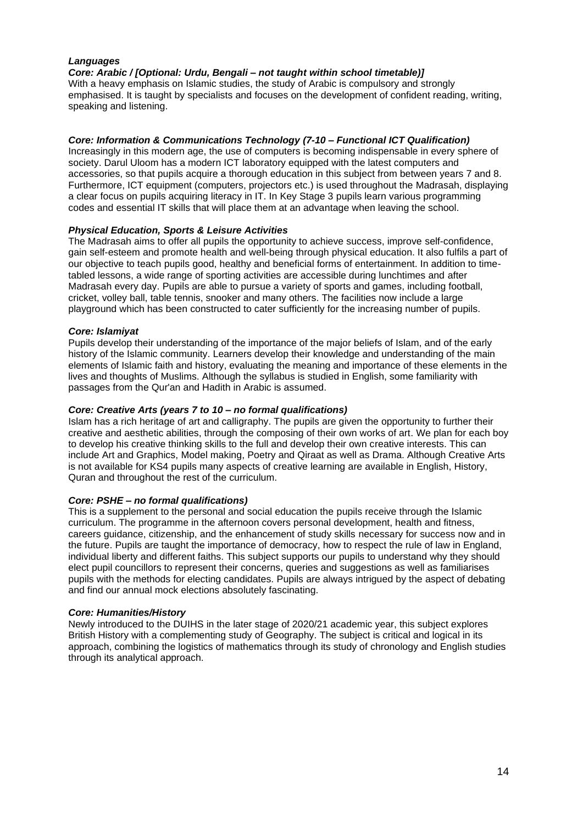#### *Languages*

# *Core: Arabic / [Optional: Urdu, Bengali – not taught within school timetable)]*

With a heavy emphasis on Islamic studies, the study of Arabic is compulsory and strongly emphasised. It is taught by specialists and focuses on the development of confident reading, writing, speaking and listening.

# *Core: Information & Communications Technology (7-10 – Functional ICT Qualification)*

Increasingly in this modern age, the use of computers is becoming indispensable in every sphere of society. Darul Uloom has a modern ICT laboratory equipped with the latest computers and accessories, so that pupils acquire a thorough education in this subject from between years 7 and 8. Furthermore, ICT equipment (computers, projectors etc.) is used throughout the Madrasah, displaying a clear focus on pupils acquiring literacy in IT. In Key Stage 3 pupils learn various programming codes and essential IT skills that will place them at an advantage when leaving the school.

# *Physical Education, Sports & Leisure Activities*

The Madrasah aims to offer all pupils the opportunity to achieve success, improve self-confidence, gain self-esteem and promote health and well-being through physical education. It also fulfils a part of our objective to teach pupils good, healthy and beneficial forms of entertainment. In addition to timetabled lessons, a wide range of sporting activities are accessible during lunchtimes and after Madrasah every day. Pupils are able to pursue a variety of sports and games, including football, cricket, volley ball, table tennis, snooker and many others. The facilities now include a large playground which has been constructed to cater sufficiently for the increasing number of pupils.

#### *Core: Islamiyat*

Pupils develop their understanding of the importance of the major beliefs of Islam, and of the early history of the Islamic community. Learners develop their knowledge and understanding of the main elements of Islamic faith and history, evaluating the meaning and importance of these elements in the lives and thoughts of Muslims. Although the syllabus is studied in English, some familiarity with passages from the Qur'an and Hadith in Arabic is assumed.

#### *Core: Creative Arts (years 7 to 10 – no formal qualifications)*

Islam has a rich heritage of art and calligraphy. The pupils are given the opportunity to further their creative and aesthetic abilities, through the composing of their own works of art. We plan for each boy to develop his creative thinking skills to the full and develop their own creative interests. This can include Art and Graphics, Model making, Poetry and Qiraat as well as Drama. Although Creative Arts is not available for KS4 pupils many aspects of creative learning are available in English, History, Quran and throughout the rest of the curriculum.

#### *Core: PSHE – no formal qualifications)*

This is a supplement to the personal and social education the pupils receive through the Islamic curriculum. The programme in the afternoon covers personal development, health and fitness, careers guidance, citizenship, and the enhancement of study skills necessary for success now and in the future. Pupils are taught the importance of democracy, how to respect the rule of law in England, individual liberty and different faiths. This subject supports our pupils to understand why they should elect pupil councillors to represent their concerns, queries and suggestions as well as familiarises pupils with the methods for electing candidates. Pupils are always intrigued by the aspect of debating and find our annual mock elections absolutely fascinating.

#### *Core: Humanities/History*

Newly introduced to the DUIHS in the later stage of 2020/21 academic year, this subject explores British History with a complementing study of Geography. The subject is critical and logical in its approach, combining the logistics of mathematics through its study of chronology and English studies through its analytical approach.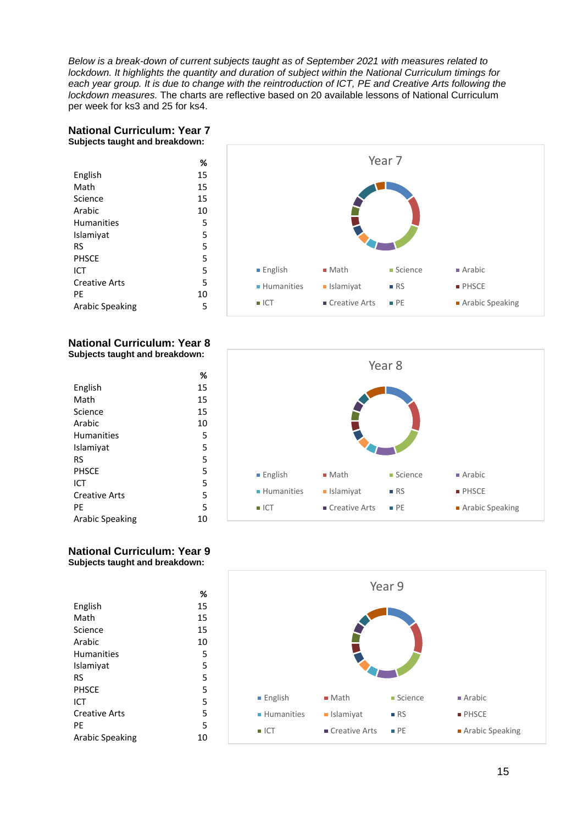*Below is a break-down of current subjects taught as of September 2021 with measures related to lockdown. It highlights the quantity and duration of subject within the National Curriculum timings for each year group. It is due to change with the reintroduction of ICT, PE and Creative Arts following the lockdown measures.* The charts are reflective based on 20 available lessons of National Curriculum per week for ks3 and 25 for ks4.

#### **National Curriculum: Year 7 Subjects taught and breakdown:**

**%**

|                      | %  |
|----------------------|----|
| English              | 15 |
| Math                 | 15 |
| Science              | 15 |
| Arabic               | 10 |
| <b>Humanities</b>    | 5  |
| Islamiyat            | 5  |
| RS                   | 5  |
| <b>PHSCE</b>         | 5  |
| ICT                  | 5  |
| <b>Creative Arts</b> | 5  |
| PF                   | 10 |
| Arabic Speaking      | 5  |
|                      |    |

#### **National Curriculum: Year 8 Subjects taught and breakdown:**

|                      | %  |
|----------------------|----|
| English              | 15 |
| Math                 | 15 |
| Science              | 15 |
| Arabic               | 10 |
| <b>Humanities</b>    | 5  |
| Islamiyat            | 5  |
| RS                   | 5  |
| <b>PHSCE</b>         | 5  |
| ICT                  | 5  |
| <b>Creative Arts</b> | 5  |
| PE                   | 5  |
| Arabic Speaking      | 10 |

#### **National Curriculum: Year 9 Subjects taught and breakdown:**

|                        | %  |
|------------------------|----|
| English                | 15 |
| Math                   | 15 |
| Science                | 15 |
| Arabic                 | 10 |
| <b>Humanities</b>      | 5  |
| Islamiyat              | 5  |
| RS                     | 5  |
| <b>PHSCE</b>           | 5  |
| ICT                    | 5  |
| <b>Creative Arts</b>   | 5  |
| PE                     | 5  |
| <b>Arabic Speaking</b> | 10 |
|                        |    |





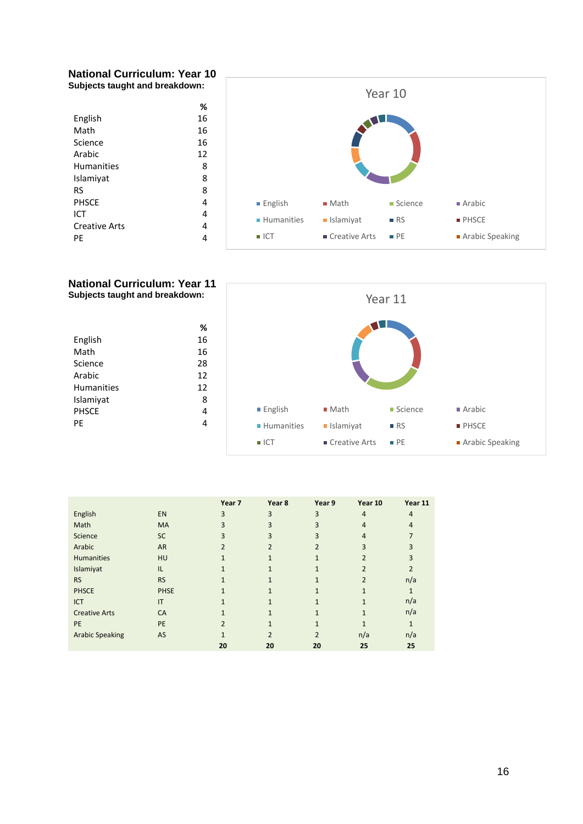# **National Curriculum: Year 10 Subjects taught and breakdown:**

|                      | ℅  |
|----------------------|----|
| English              | 16 |
| Math                 | 16 |
| Science              | 16 |
| Arabic               | 12 |
| <b>Humanities</b>    | 8  |
| Islamiyat            | 8  |
| RS                   | 8  |
| <b>PHSCE</b>         | 4  |
| ICT                  | 4  |
| <b>Creative Arts</b> | 4  |
| PF                   |    |





<span id="page-15-0"></span>

|                        |                        | Year 7        | Year 8         | Year 9         | Year 10        | Year 11        |
|------------------------|------------------------|---------------|----------------|----------------|----------------|----------------|
| English                | <b>EN</b>              | 3             | 3              | 3              | $\overline{4}$ | $\overline{4}$ |
| Math                   | <b>MA</b>              | 3             | 3              | 3              | 4              | $\overline{4}$ |
| Science                | <b>SC</b>              | 3             | 3              | 3              | $\overline{4}$ | 7              |
| Arabic                 | <b>AR</b>              | $\mathcal{P}$ | $\overline{2}$ | $\overline{2}$ | 3              | 3              |
| <b>Humanities</b>      | HU                     |               |                |                | $\overline{2}$ | 3              |
| Islamiyat              | IL                     |               |                | $\mathbf{1}$   | $\overline{2}$ | $\overline{2}$ |
| <b>RS</b>              | <b>RS</b>              |               |                | $\mathbf{1}$   | $\overline{2}$ | n/a            |
| <b>PHSCE</b>           | PHSE                   |               |                |                |                | $\mathbf{1}$   |
| <b>ICT</b>             | $\mathsf{I}\mathsf{T}$ |               |                | $\mathbf{1}$   | 1              | n/a            |
| <b>Creative Arts</b>   | CA                     |               |                | $\mathbf{1}$   | 1              | n/a            |
| <b>PE</b>              | PE                     | 2             |                |                | $\mathbf{1}$   | $\mathbf{1}$   |
| <b>Arabic Speaking</b> | AS                     |               | $\overline{2}$ | $\mathcal{P}$  | n/a            | n/a            |
|                        |                        | 20            | 20             | 20             | 25             | 25             |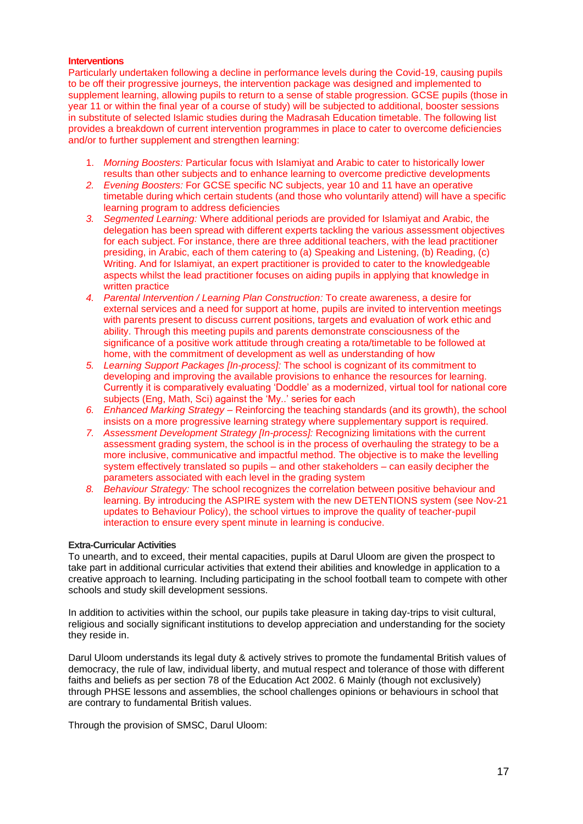#### **Interventions**

Particularly undertaken following a decline in performance levels during the Covid-19, causing pupils to be off their progressive journeys, the intervention package was designed and implemented to supplement learning, allowing pupils to return to a sense of stable progression. GCSE pupils (those in year 11 or within the final year of a course of study) will be subjected to additional, booster sessions in substitute of selected Islamic studies during the Madrasah Education timetable. The following list provides a breakdown of current intervention programmes in place to cater to overcome deficiencies and/or to further supplement and strengthen learning:

- 1. *Morning Boosters:* Particular focus with Islamiyat and Arabic to cater to historically lower results than other subjects and to enhance learning to overcome predictive developments
- *2. Evening Boosters:* For GCSE specific NC subjects, year 10 and 11 have an operative timetable during which certain students (and those who voluntarily attend) will have a specific learning program to address deficiencies
- *3. Segmented Learning:* Where additional periods are provided for Islamiyat and Arabic, the delegation has been spread with different experts tackling the various assessment objectives for each subject. For instance, there are three additional teachers, with the lead practitioner presiding, in Arabic, each of them catering to (a) Speaking and Listening, (b) Reading, (c) Writing. And for Islamiyat, an expert practitioner is provided to cater to the knowledgeable aspects whilst the lead practitioner focuses on aiding pupils in applying that knowledge in written practice
- *4. Parental Intervention / Learning Plan Construction:* To create awareness, a desire for external services and a need for support at home, pupils are invited to intervention meetings with parents present to discuss current positions, targets and evaluation of work ethic and ability. Through this meeting pupils and parents demonstrate consciousness of the significance of a positive work attitude through creating a rota/timetable to be followed at home, with the commitment of development as well as understanding of how
- *5. Learning Support Packages [In-process]:* The school is cognizant of its commitment to developing and improving the available provisions to enhance the resources for learning. Currently it is comparatively evaluating 'Doddle' as a modernized, virtual tool for national core subjects (Eng, Math, Sci) against the 'My..' series for each
- *6. Enhanced Marking Strategy –* Reinforcing the teaching standards (and its growth), the school insists on a more progressive learning strategy where supplementary support is required.
- *7. Assessment Development Strategy [In-process]:* Recognizing limitations with the current assessment grading system, the school is in the process of overhauling the strategy to be a more inclusive, communicative and impactful method. The objective is to make the levelling system effectively translated so pupils – and other stakeholders – can easily decipher the parameters associated with each level in the grading system
- *8. Behaviour Strategy:* The school recognizes the correlation between positive behaviour and learning. By introducing the ASPIRE system with the new DETENTIONS system (see Nov-21 updates to Behaviour Policy), the school virtues to improve the quality of teacher-pupil interaction to ensure every spent minute in learning is conducive.

# **Extra-Curricular Activities**

To unearth, and to exceed, their mental capacities, pupils at Darul Uloom are given the prospect to take part in additional curricular activities that extend their abilities and knowledge in application to a creative approach to learning. Including participating in the school football team to compete with other schools and study skill development sessions.

In addition to activities within the school, our pupils take pleasure in taking day-trips to visit cultural, religious and socially significant institutions to develop appreciation and understanding for the society they reside in.

Darul Uloom understands its legal duty & actively strives to promote the fundamental British values of democracy, the rule of law, individual liberty, and mutual respect and tolerance of those with different faiths and beliefs as per section 78 of the Education Act 2002. 6 Mainly (though not exclusively) through PHSE lessons and assemblies, the school challenges opinions or behaviours in school that are contrary to fundamental British values.

Through the provision of SMSC, Darul Uloom: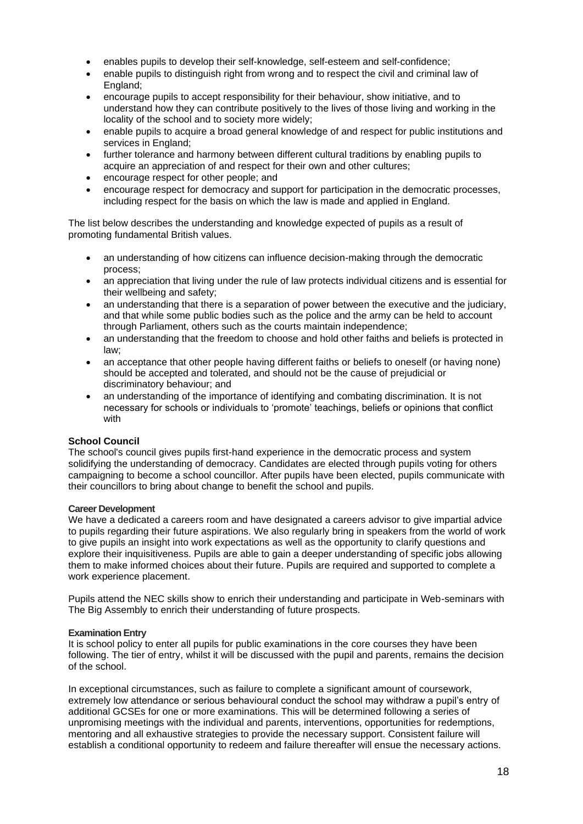- enables pupils to develop their self-knowledge, self-esteem and self-confidence;
- enable pupils to distinguish right from wrong and to respect the civil and criminal law of England;
- encourage pupils to accept responsibility for their behaviour, show initiative, and to understand how they can contribute positively to the lives of those living and working in the locality of the school and to society more widely;
- enable pupils to acquire a broad general knowledge of and respect for public institutions and services in England;
- further tolerance and harmony between different cultural traditions by enabling pupils to acquire an appreciation of and respect for their own and other cultures;
- encourage respect for other people; and
- encourage respect for democracy and support for participation in the democratic processes, including respect for the basis on which the law is made and applied in England.

The list below describes the understanding and knowledge expected of pupils as a result of promoting fundamental British values.

- an understanding of how citizens can influence decision-making through the democratic process;
- an appreciation that living under the rule of law protects individual citizens and is essential for their wellbeing and safety;
- an understanding that there is a separation of power between the executive and the judiciary, and that while some public bodies such as the police and the army can be held to account through Parliament, others such as the courts maintain independence;
- an understanding that the freedom to choose and hold other faiths and beliefs is protected in law;
- an acceptance that other people having different faiths or beliefs to oneself (or having none) should be accepted and tolerated, and should not be the cause of prejudicial or discriminatory behaviour; and
- an understanding of the importance of identifying and combating discrimination. It is not necessary for schools or individuals to 'promote' teachings, beliefs or opinions that conflict with

# **School Council**

The school's council gives pupils first-hand experience in the democratic process and system solidifying the understanding of democracy. Candidates are elected through pupils voting for others campaigning to become a school councillor. After pupils have been elected, pupils communicate with their councillors to bring about change to benefit the school and pupils.

# <span id="page-17-0"></span>**Career Development**

We have a dedicated a careers room and have designated a careers advisor to give impartial advice to pupils regarding their future aspirations. We also regularly bring in speakers from the world of work to give pupils an insight into work expectations as well as the opportunity to clarify questions and explore their inquisitiveness. Pupils are able to gain a deeper understanding of specific jobs allowing them to make informed choices about their future. Pupils are required and supported to complete a work experience placement.

Pupils attend the NEC skills show to enrich their understanding and participate in Web-seminars with The Big Assembly to enrich their understanding of future prospects.

# <span id="page-17-1"></span>**Examination Entry**

It is school policy to enter all pupils for public examinations in the core courses they have been following. The tier of entry, whilst it will be discussed with the pupil and parents, remains the decision of the school.

In exceptional circumstances, such as failure to complete a significant amount of coursework, extremely low attendance or serious behavioural conduct the school may withdraw a pupil's entry of additional GCSEs for one or more examinations. This will be determined following a series of unpromising meetings with the individual and parents, interventions, opportunities for redemptions, mentoring and all exhaustive strategies to provide the necessary support. Consistent failure will establish a conditional opportunity to redeem and failure thereafter will ensue the necessary actions.